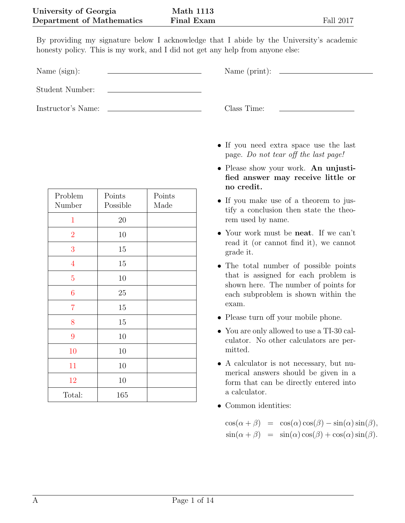By providing my signature below I acknowledge that I abide by the University's academic honesty policy. This is my work, and I did not get any help from anyone else:

Name (sign):  $\qquad \qquad \qquad$  Name (print):

Student Number:

Instructor's Name: Class Time:

| Problem        | Points   | Points |
|----------------|----------|--------|
| Number         | Possible | Made   |
| $\mathbf{1}$   | $20\,$   |        |
| $\overline{2}$ | $10\,$   |        |
| 3              | 15       |        |
| $\overline{4}$ | 15       |        |
| $\overline{5}$ | 10       |        |
| $\overline{6}$ | 25       |        |
| $\overline{7}$ | 15       |        |
| 8              | 15       |        |
| 9              | 10       |        |
| 10             | 10       |        |
| 11             | 10       |        |
| 12             | 10       |        |
| Total:         | 165      |        |

- *•* If you need extra space use the last page. *Do not tear off the last page!*
- *•* Please show your work. **An unjustified answer may receive little or no credit.**
- *•* If you make use of a theorem to justify a conclusion then state the theorem used by name.
- *•* Your work must be **neat**. If we can't read it (or cannot find it), we cannot grade it.
- The total number of possible points that is assigned for each problem is shown here. The number of points for each subproblem is shown within the exam.
- *•* Please turn off your mobile phone.
- *•* You are only allowed to use a TI-30 calculator. No other calculators are permitted.
- A calculator is not necessary, but numerical answers should be given in a form that can be directly entered into a calculator.
- Common identities:

 $\cos(\alpha + \beta) = \cos(\alpha)\cos(\beta) - \sin(\alpha)\sin(\beta),$  $\sin(\alpha + \beta) = \sin(\alpha)\cos(\beta) + \cos(\alpha)\sin(\beta).$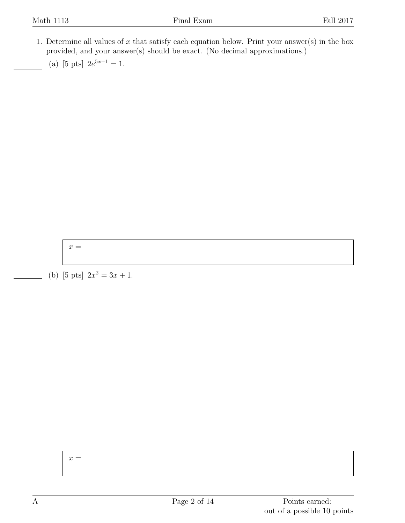- <span id="page-1-0"></span>1. Determine all values of *x* that satisfy each equation below. Print your answer(s) in the box provided, and your answer(s) should be exact. (No decimal approximations.)
	- (a) [5 pts]  $2e^{5x-1} = 1$ .

*x* =

(b) [5 pts]  $2x^2 = 3x + 1$ .

 $x =$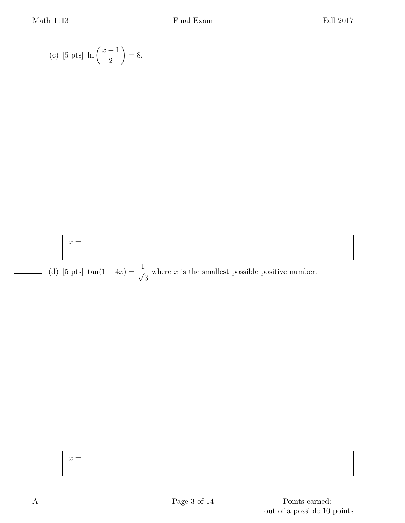(c) [5 pts] 
$$
\ln\left(\frac{x+1}{2}\right) = 8
$$
.

$$
x =
$$

(d) [5 pts] tan(1 *−* 4*x*) =  $\frac{1}{\sqrt{3}}$ where *x* is the smallest possible positive number.

 $x =$ 

 $\overline{\phantom{0}}$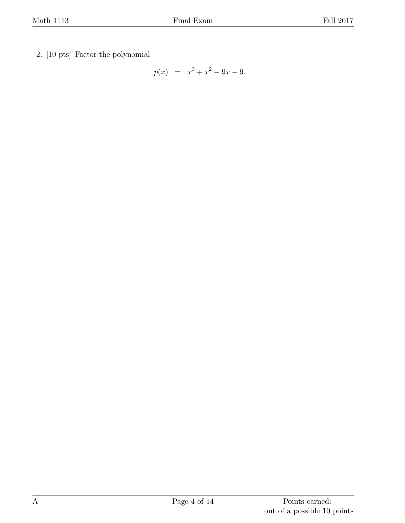<span id="page-3-0"></span>2. [10 pts] Factor the polynomial

 $p(x) = x^3 + x^2 - 9x - 9$ .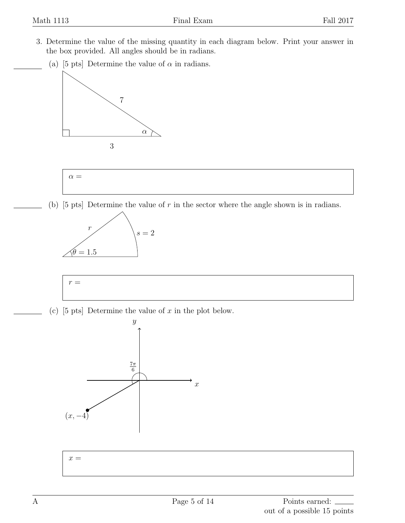- <span id="page-4-0"></span>3. Determine the value of the missing quantity in each diagram below. Print your answer in the box provided. All angles should be in radians.
	- (a) [5 pts] Determine the value of  $\alpha$  in radians.





(b) [5 pts] Determine the value of *r* in the sector where the angle shown is in radians.





(c) [5 pts] Determine the value of *x* in the plot below.



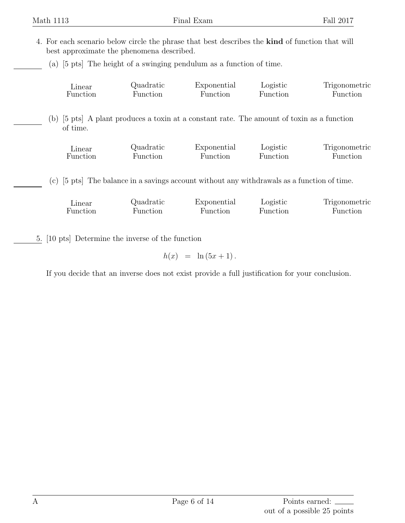- <span id="page-5-0"></span>4. For each scenario below circle the phrase that best describes the **kind** of function that will best approximate the phenomena described.
	- (a) [5 pts] The height of a swinging pendulum as a function of time.

|                                                                                                                       | Linear   | Quadratic | Exponential | Logistic | Trigonometric |  |
|-----------------------------------------------------------------------------------------------------------------------|----------|-----------|-------------|----------|---------------|--|
|                                                                                                                       | Function | Function  | Function    | Function | Function      |  |
| [5 pts] A plant produces a toxin at a constant rate. The amount of toxin as a function<br>of time.                    |          |           |             |          |               |  |
|                                                                                                                       | Linear   | Quadratic | Exponential | Logistic | Trigonometric |  |
|                                                                                                                       | Function | Function  | Function    | Function | Function      |  |
| [5 pts] The balance in a savings account without any withdrawals as a function of time.<br>$\left( \mathrm{c}\right)$ |          |           |             |          |               |  |
|                                                                                                                       | Linear   | Quadratic | Exponential | Logistic | Trigonometric |  |
|                                                                                                                       | Function | Function  | Function    | Function | Function      |  |

<span id="page-5-1"></span>5. [10 pts] Determine the inverse of the function

$$
h(x) = \ln(5x+1).
$$

If you decide that an inverse does not exist provide a full justification for your conclusion.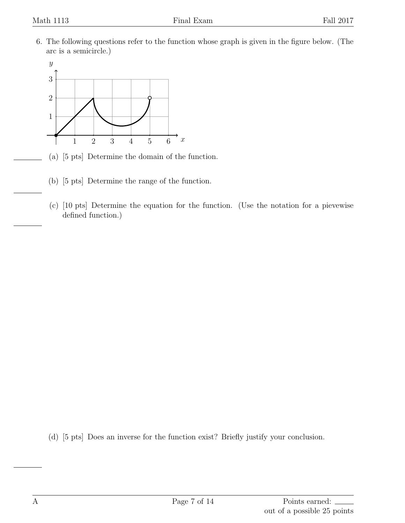<span id="page-6-0"></span>6. The following questions refer to the function whose graph is given in the figure below. (The arc is a semicircle.)



- (a) [5 pts] Determine the domain of the function.
- (b) [5 pts] Determine the range of the function.
- (c) [10 pts] Determine the equation for the function. (Use the notation for a pievewise defined function.)

(d) [5 pts] Does an inverse for the function exist? Briefly justify your conclusion.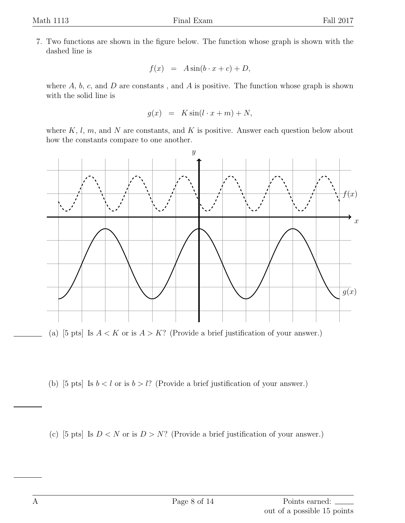<span id="page-7-0"></span>7. Two functions are shown in the figure below. The function whose graph is shown with the dashed line is

$$
f(x) = A\sin(b \cdot x + c) + D,
$$

where  $A, b, c$ , and  $D$  are constants, and  $A$  is positive. The function whose graph is shown with the solid line is

$$
g(x) = K \sin(l \cdot x + m) + N,
$$

where  $K, l, m$ , and  $N$  are constants, and  $K$  is positive. Answer each question below about how the constants compare to one another.



(a) [5 pts] Is  $A < K$  or is  $A > K$ ? (Provide a brief justification of your answer.)

(b) [5 pts] Is  $b < l$  or is  $b > l$ ? (Provide a brief justification of your answer.)

(c) [5 pts] Is  $D < N$  or is  $D > N$ ? (Provide a brief justification of your answer.)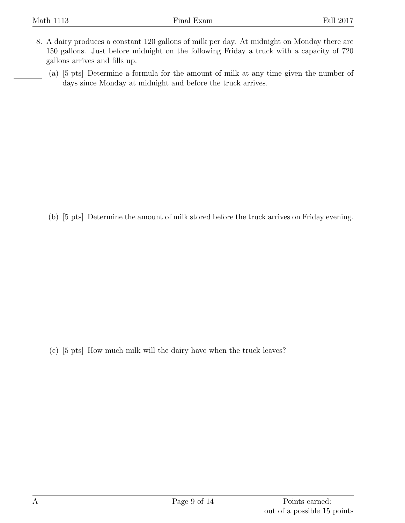- <span id="page-8-0"></span>8. A dairy produces a constant 120 gallons of milk per day. At midnight on Monday there are 150 gallons. Just before midnight on the following Friday a truck with a capacity of 720 gallons arrives and fills up.
	- (a) [5 pts] Determine a formula for the amount of milk at any time given the number of days since Monday at midnight and before the truck arrives.

(b) [5 pts] Determine the amount of milk stored before the truck arrives on Friday evening.

(c) [5 pts] How much milk will the dairy have when the truck leaves?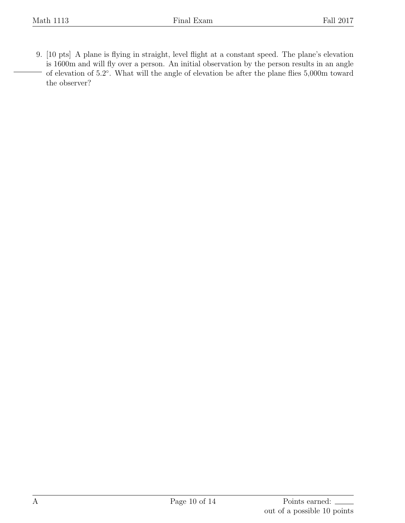<span id="page-9-0"></span>9. [10 pts] A plane is flying in straight, level flight at a constant speed. The plane's elevation is 1600m and will fly over a person. An initial observation by the person results in an angle of elevation of 5*.*2 *◦* . What will the angle of elevation be after the plane flies 5,000m toward the observer?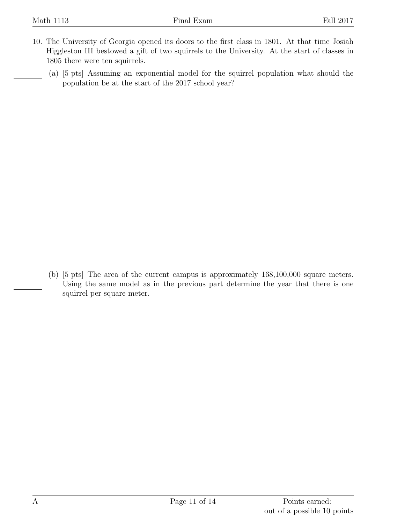- <span id="page-10-0"></span>10. The University of Georgia opened its doors to the first class in 1801. At that time Josiah Higgleston III bestowed a gift of two squirrels to the University. At the start of classes in 1805 there were ten squirrels.
	- (a) [5 pts] Assuming an exponential model for the squirrel population what should the population be at the start of the 2017 school year?

(b) [5 pts] The area of the current campus is approximately 168,100,000 square meters. Using the same model as in the previous part determine the year that there is one squirrel per square meter.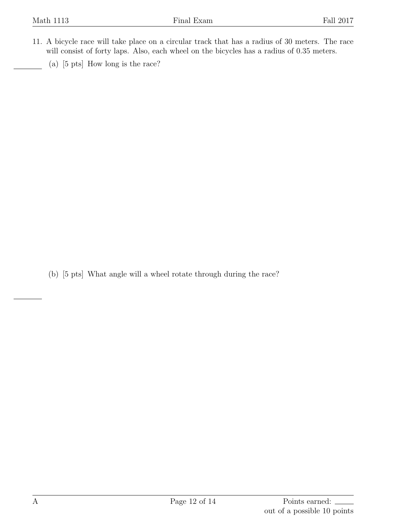- <span id="page-11-0"></span>11. A bicycle race will take place on a circular track that has a radius of 30 meters. The race will consist of forty laps. Also, each wheel on the bicycles has a radius of  $0.35$  meters.
	- (a) [5 pts] How long is the race?

(b) [5 pts] What angle will a wheel rotate through during the race?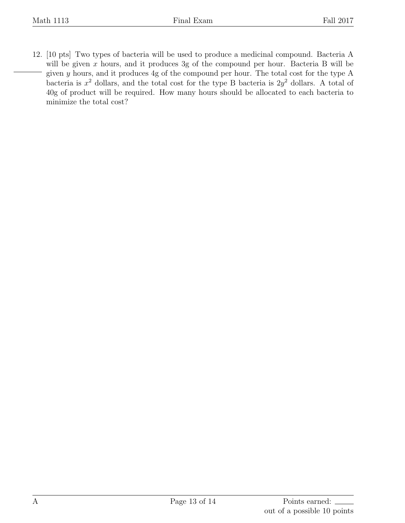<span id="page-12-0"></span>12. [10 pts] Two types of bacteria will be used to produce a medicinal compound. Bacteria A will be given x hours, and it produces 3g of the compound per hour. Bacteria B will be given *y* hours, and it produces 4g of the compound per hour. The total cost for the type A bacteria is *x* <sup>2</sup> dollars, and the total cost for the type B bacteria is 2*y* <sup>2</sup> dollars. A total of 40g of product will be required. How many hours should be allocated to each bacteria to minimize the total cost?